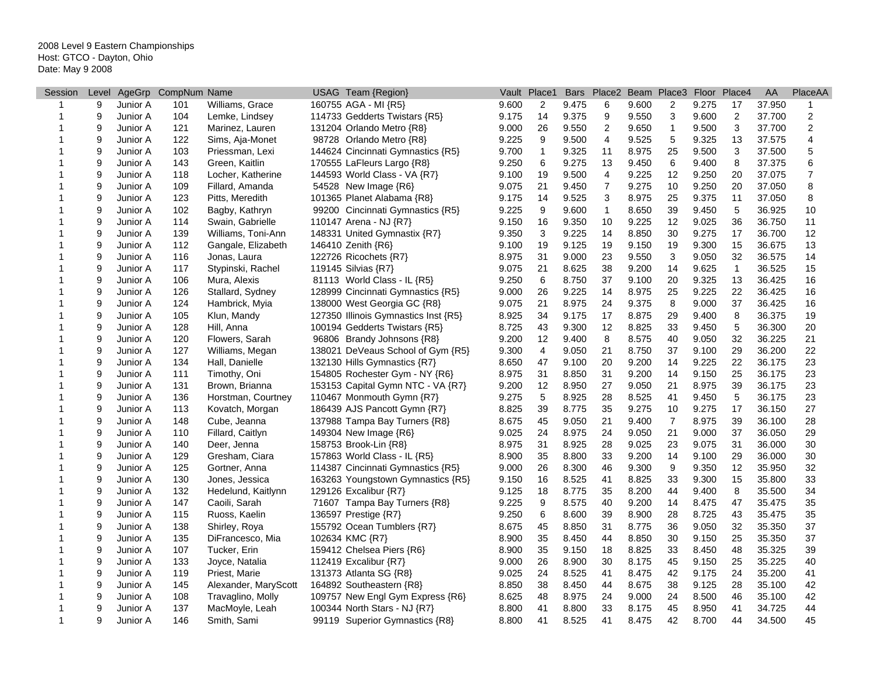| Session      | Level |          | AgeGrp CompNum Name |                      | USAG Team {Region}                   |       | Vault Place1   | <b>Bars</b> |                |       | Place2 Beam Place3 Floor |       | Place4                    | AA     | PlaceAA        |
|--------------|-------|----------|---------------------|----------------------|--------------------------------------|-------|----------------|-------------|----------------|-------|--------------------------|-------|---------------------------|--------|----------------|
| 1            | 9     | Junior A | 101                 | Williams, Grace      | 160755 AGA - MI {R5}                 | 9.600 | $\overline{2}$ | 9.475       | 6              | 9.600 | 2                        | 9.275 | 17                        | 37.950 | 1              |
| 1            | 9     | Junior A | 104                 | Lemke, Lindsey       | 114733 Gedderts Twistars {R5}        | 9.175 | 14             | 9.375       | 9              | 9.550 | 3                        | 9.600 | $\overline{\mathbf{c}}$   | 37.700 | 2              |
| 1            | 9     | Junior A | 121                 | Marinez, Lauren      | 131204 Orlando Metro {R8}            | 9.000 | 26             | 9.550       | $\overline{2}$ | 9.650 | $\mathbf{1}$             | 9.500 | $\mathsf 3$               | 37.700 | $\overline{c}$ |
| 1            | 9     | Junior A | 122                 | Sims, Aja-Monet      | 98728 Orlando Metro {R8}             | 9.225 | 9              | 9.500       | $\overline{4}$ | 9.525 | 5                        | 9.325 | 13                        | 37.575 | 4              |
| 1            | 9     | Junior A | 103                 | Priessman, Lexi      | 144624 Cincinnati Gymnastics {R5}    | 9.700 | $\mathbf{1}$   | 9.325       | 11             | 8.975 | 25                       | 9.500 | $\ensuremath{\mathsf{3}}$ | 37.500 | 5              |
| 1            | 9     | Junior A | 143                 | Green, Kaitlin       | 170555 LaFleurs Largo {R8}           | 9.250 | 6              | 9.275       | 13             | 9.450 | 6                        | 9.400 | 8                         | 37.375 | 6              |
| 1            | 9     | Junior A | 118                 | Locher, Katherine    | 144593 World Class - VA {R7}         | 9.100 | 19             | 9.500       | $\overline{4}$ | 9.225 | 12                       | 9.250 | 20                        | 37.075 | $\overline{7}$ |
| 1            | 9     | Junior A | 109                 | Fillard, Amanda      | 54528 New Image {R6}                 | 9.075 | 21             | 9.450       | $\overline{7}$ | 9.275 | 10                       | 9.250 | 20                        | 37.050 | 8              |
|              | 9     | Junior A | 123                 | Pitts, Meredith      | 101365 Planet Alabama {R8}           | 9.175 | 14             | 9.525       | 3              | 8.975 | 25                       | 9.375 | 11                        | 37.050 | 8              |
| 1            | 9     | Junior A | 102                 | Bagby, Kathryn       | 99200 Cincinnati Gymnastics {R5}     | 9.225 | 9              | 9.600       | $\mathbf{1}$   | 8.650 | 39                       | 9.450 | 5                         | 36.925 | 10             |
| 1            | 9     | Junior A | 114                 | Swain, Gabrielle     | 110147 Arena - NJ {R7}               | 9.150 | 16             | 9.350       | 10             | 9.225 | 12                       | 9.025 | 36                        | 36.750 | 11             |
| 1            | 9     | Junior A | 139                 | Williams, Toni-Ann   | 148331 United Gymnastix {R7}         | 9.350 | 3              | 9.225       | 14             | 8.850 | 30                       | 9.275 | 17                        | 36.700 | 12             |
| 1            | 9     | Junior A | 112                 | Gangale, Elizabeth   | 146410 Zenith {R6}                   | 9.100 | 19             | 9.125       | 19             | 9.150 | 19                       | 9.300 | 15                        | 36.675 | 13             |
| 1            | 9     | Junior A | 116                 | Jonas, Laura         | 122726 Ricochets {R7}                | 8.975 | 31             | 9.000       | 23             | 9.550 | 3                        | 9.050 | 32                        | 36.575 | 14             |
| 1            | 9     | Junior A | 117                 | Stypinski, Rachel    | 119145 Silvias {R7}                  | 9.075 | 21             | 8.625       | 38             | 9.200 | 14                       | 9.625 | $\mathbf{1}$              | 36.525 | 15             |
| 1            | 9     | Junior A | 106                 | Mura, Alexis         | 81113 World Class - IL $\{R5\}$      | 9.250 | 6              | 8.750       | 37             | 9.100 | 20                       | 9.325 | 13                        | 36.425 | 16             |
|              | 9     | Junior A | 126                 | Stallard, Sydney     | 128999 Cincinnati Gymnastics {R5}    | 9.000 | 26             | 9.225       | 14             | 8.975 | 25                       | 9.225 | 22                        | 36.425 | 16             |
| 1            | 9     | Junior A | 124                 | Hambrick, Myia       | 138000 West Georgia GC {R8}          | 9.075 | 21             | 8.975       | 24             | 9.375 | 8                        | 9.000 | 37                        | 36.425 | 16             |
| 1            | 9     | Junior A | 105                 | Klun, Mandy          | 127350 Illinois Gymnastics Inst {R5} | 8.925 | 34             | 9.175       | 17             | 8.875 | 29                       | 9.400 | 8                         | 36.375 | 19             |
| 1            | 9     | Junior A | 128                 | Hill, Anna           | 100194 Gedderts Twistars {R5}        | 8.725 | 43             | 9.300       | 12             | 8.825 | 33                       | 9.450 | 5                         | 36.300 | 20             |
| 1            | 9     | Junior A | 120                 | Flowers, Sarah       | 96806 Brandy Johnsons {R8}           | 9.200 | 12             | 9.400       | 8              | 8.575 | 40                       | 9.050 | 32                        | 36.225 | 21             |
|              | 9     | Junior A | 127                 | Williams, Megan      | 138021 DeVeaus School of Gym {R5}    | 9.300 | 4              | 9.050       | 21             | 8.750 | 37                       | 9.100 | 29                        | 36.200 | 22             |
| 1            | 9     | Junior A | 134                 | Hall, Danielle       | 132130 Hills Gymnastics {R7}         | 8.650 | 47             | 9.100       | 20             | 9.200 | 14                       | 9.225 | 22                        | 36.175 | 23             |
|              | 9     | Junior A | 111                 | Timothy, Oni         | 154805 Rochester Gym - NY {R6}       | 8.975 | 31             | 8.850       | 31             | 9.200 | 14                       | 9.150 | 25                        | 36.175 | 23             |
|              | 9     | Junior A | 131                 | Brown, Brianna       | 153153 Capital Gymn NTC - VA {R7}    | 9.200 | 12             | 8.950       | 27             | 9.050 | 21                       | 8.975 | 39                        | 36.175 | 23             |
|              | 9     | Junior A | 136                 | Horstman, Courtney   | 110467 Monmouth Gymn {R7}            | 9.275 | 5              | 8.925       | 28             | 8.525 | 41                       | 9.450 | 5                         | 36.175 | 23             |
| 1            | 9     | Junior A | 113                 | Kovatch, Morgan      | 186439 AJS Pancott Gymn {R7}         | 8.825 | 39             | 8.775       | 35             | 9.275 | 10                       | 9.275 | 17                        | 36.150 | 27             |
| 1            | 9     | Junior A | 148                 | Cube, Jeanna         | 137988 Tampa Bay Turners {R8}        | 8.675 | 45             | 9.050       | 21             | 9.400 | $\overline{7}$           | 8.975 | 39                        | 36.100 | 28             |
| 1            | 9     | Junior A | 110                 | Fillard, Caitlyn     | 149304 New Image {R6}                | 9.025 | 24             | 8.975       | 24             | 9.050 | 21                       | 9.000 | 37                        | 36.050 | 29             |
|              | 9     | Junior A | 140                 | Deer, Jenna          | 158753 Brook-Lin {R8}                | 8.975 | 31             | 8.925       | 28             | 9.025 | 23                       | 9.075 | 31                        | 36.000 | 30             |
| 1            | 9     | Junior A | 129                 | Gresham, Ciara       | 157863 World Class - IL {R5}         | 8.900 | 35             | 8.800       | 33             | 9.200 | 14                       | 9.100 | 29                        | 36.000 | 30             |
| 1            | 9     | Junior A | 125                 | Gortner, Anna        | 114387 Cincinnati Gymnastics {R5}    | 9.000 | 26             | 8.300       | 46             | 9.300 | 9                        | 9.350 | 12                        | 35.950 | 32             |
| 1            | 9     | Junior A | 130                 | Jones, Jessica       | 163263 Youngstown Gymnastics {R5}    | 9.150 | 16             | 8.525       | 41             | 8.825 | 33                       | 9.300 | 15                        | 35.800 | 33             |
| 1            | 9     | Junior A | 132                 | Hedelund, Kaitlynn   | 129126 Excalibur {R7}                | 9.125 | 18             | 8.775       | 35             | 8.200 | 44                       | 9.400 | 8                         | 35.500 | 34             |
| 1            | 9     | Junior A | 147                 | Caoili, Sarah        | 71607 Tampa Bay Turners {R8}         | 9.225 | 9              | 8.575       | 40             | 9.200 | 14                       | 8.475 | 47                        | 35.475 | 35             |
| 1            | 9     | Junior A | 115                 | Ruoss, Kaelin        | 136597 Prestige {R7}                 | 9.250 | 6              | 8.600       | 39             | 8.900 | 28                       | 8.725 | 43                        | 35.475 | 35             |
| 1            | 9     | Junior A | 138                 | Shirley, Roya        | 155792 Ocean Tumblers {R7}           | 8.675 | 45             | 8.850       | 31             | 8.775 | 36                       | 9.050 | 32                        | 35.350 | 37             |
|              | 9     | Junior A | 135                 | DiFrancesco, Mia     | 102634 KMC {R7}                      | 8.900 | 35             | 8.450       | 44             | 8.850 | 30                       | 9.150 | 25                        | 35.350 | 37             |
| 1            | 9     | Junior A | 107                 | Tucker, Erin         | 159412 Chelsea Piers {R6}            | 8.900 | 35             | 9.150       | 18             | 8.825 | 33                       | 8.450 | 48                        | 35.325 | 39             |
|              | 9     | Junior A | 133                 | Joyce, Natalia       | 112419 Excalibur {R7}                | 9.000 | 26             | 8.900       | 30             | 8.175 | 45                       | 9.150 | 25                        | 35.225 | 40             |
| 1            | 9     | Junior A | 119                 | Priest, Marie        | 131373 Atlanta SG {R8}               | 9.025 | 24             | 8.525       | 41             | 8.475 | 42                       | 9.175 | 24                        | 35.200 | 41             |
|              | 9     | Junior A | 145                 | Alexander, MaryScott | 164892 Southeastern {R8}             | 8.850 | 38             | 8.450       | 44             | 8.675 | 38                       | 9.125 | 28                        | 35.100 | 42             |
|              | 9     | Junior A | 108                 | Travaglino, Molly    | 109757 New Engl Gym Express {R6}     | 8.625 | 48             | 8.975       | 24             | 9.000 | 24                       | 8.500 | 46                        | 35.100 | 42             |
| 1            | 9     | Junior A | 137                 | MacMoyle, Leah       | 100344 North Stars - NJ {R7}         | 8.800 | 41             | 8.800       | 33             | 8.175 | 45                       | 8.950 | 41                        | 34.725 | 44             |
| $\mathbf{1}$ | 9     | Junior A | 146                 | Smith, Sami          | 99119 Superior Gymnastics {R8}       | 8.800 | 41             | 8.525       | 41             | 8.475 | 42                       | 8.700 | 44                        | 34.500 | 45             |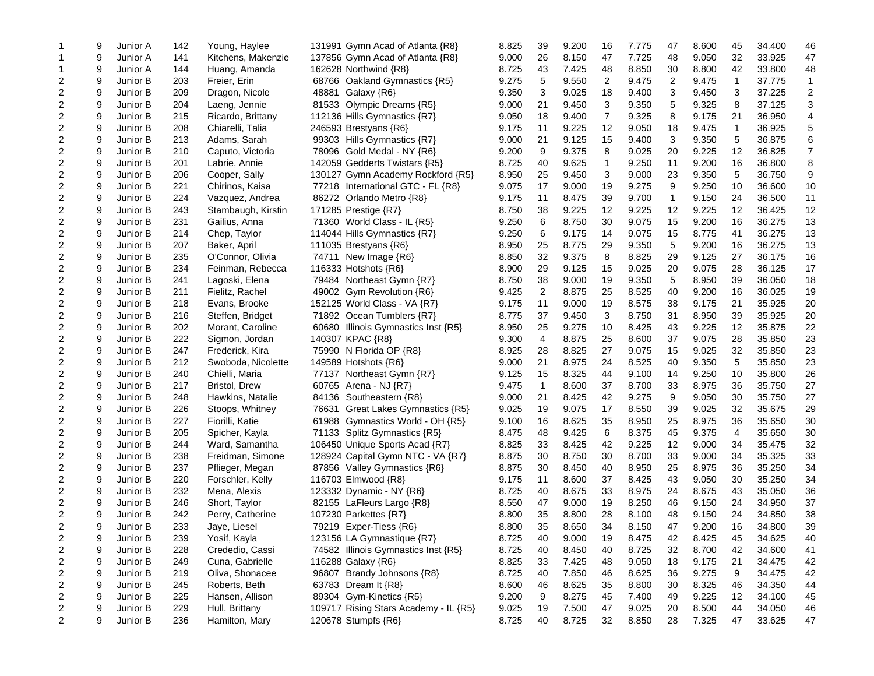|                         | 9 | Junior A             | 142 | Young, Haylee        | 131991 Gymn Acad of Atlanta {R8}      | 8.825 | 39             | 9.200 | 16             | 7.775 | 47           | 8.600          | 45       | 34.400 | 46             |
|-------------------------|---|----------------------|-----|----------------------|---------------------------------------|-------|----------------|-------|----------------|-------|--------------|----------------|----------|--------|----------------|
|                         | 9 | Junior A             | 141 | Kitchens, Makenzie   | 137856 Gymn Acad of Atlanta {R8}      | 9.000 | 26             | 8.150 | 47             | 7.725 | 48           | 9.050          | 32       | 33.925 | 47             |
|                         | 9 | Junior A             | 144 | Huang, Amanda        | 162628 Northwind {R8}                 | 8.725 | 43             | 7.425 | 48             | 8.850 | 30           | 8.800          | 42       | 33.800 | 48             |
| $\overline{c}$          | 9 | Junior B             | 203 | Freier, Erin         | 68766 Oakland Gymnastics {R5}         | 9.275 | 5              | 9.550 | $\overline{2}$ | 9.475 | 2            | 9.475          | 1        | 37.775 | $\mathbf 1$    |
| $\boldsymbol{2}$        | 9 | Junior B             | 209 | Dragon, Nicole       | 48881 Galaxy {R6}                     | 9.350 | 3              | 9.025 | 18             | 9.400 | 3            | 9.450          | 3        | 37.225 | $\mathbf 2$    |
| $\overline{c}$          | 9 | Junior B             | 204 | Laeng, Jennie        | 81533 Olympic Dreams {R5}             | 9.000 | 21             | 9.450 | 3              | 9.350 | 5            | 9.325          | 8        | 37.125 | 3              |
| $\overline{c}$          | 9 | Junior B             | 215 | Ricardo, Brittany    | 112136 Hills Gymnastics {R7}          | 9.050 | 18             | 9.400 | 7              | 9.325 | 8            | 9.175          | 21       | 36.950 | 4              |
| $\overline{c}$          | 9 | Junior B             | 208 | Chiarelli, Talia     | 246593 Brestyans {R6}                 | 9.175 | 11             | 9.225 | 12             | 9.050 | 18           | 9.475          | 1        | 36.925 | 5              |
| $\overline{2}$          | 9 | Junior B             | 213 | Adams, Sarah         | 99303 Hills Gymnastics {R7}           | 9.000 | 21             | 9.125 | 15             | 9.400 | 3            | 9.350          | 5        | 36.875 | 6              |
| $\overline{c}$          | 9 | Junior B             | 210 | Caputo, Victoria     | 78096 Gold Medal - NY {R6}            | 9.200 | 9              | 9.375 | 8              | 9.025 | 20           | 9.225          | 12       | 36.825 | $\overline{7}$ |
| $\overline{2}$          | 9 | Junior B             | 201 | Labrie, Annie        | 142059 Gedderts Twistars {R5}         | 8.725 | 40             | 9.625 | 1              | 9.250 | 11           | 9.200          | 16       | 36.800 | 8              |
| 2                       | 9 | Junior B             | 206 | Cooper, Sally        | 130127 Gymn Academy Rockford {R5}     | 8.950 | 25             | 9.450 | 3              | 9.000 | 23           | 9.350          | 5        | 36.750 | 9              |
| $\overline{c}$          | 9 | Junior B             | 221 | Chirinos, Kaisa      | 77218 International GTC - FL {R8}     | 9.075 | 17             | 9.000 | 19             | 9.275 | 9            | 9.250          | 10       | 36.600 | 10             |
| $\boldsymbol{2}$        | 9 | Junior B             | 224 | Vazquez, Andrea      | 86272 Orlando Metro {R8}              | 9.175 | 11             | 8.475 | 39             | 9.700 | $\mathbf{1}$ | 9.150          | 24       | 36.500 | 11             |
| $\overline{2}$          | 9 | Junior B             | 243 | Stambaugh, Kirstin   | 171285 Prestige {R7}                  | 8.750 | 38             | 9.225 | 12             | 9.225 | 12           | 9.225          | 12       | 36.425 | 12             |
| 2                       | 9 | Junior B             | 231 | Gailius, Anna        | 71360 World Class - IL {R5}           | 9.250 | 6              | 8.750 | 30             | 9.075 | 15           | 9.200          | 16       | 36.275 | 13             |
| $\overline{c}$          | 9 | Junior B             | 214 | Chep, Taylor         | 114044 Hills Gymnastics {R7}          | 9.250 | 6              | 9.175 | 14             | 9.075 | 15           | 8.775          | 41       | 36.275 | 13             |
| $\boldsymbol{2}$        | 9 | Junior B             | 207 | Baker, April         | 111035 Brestyans {R6}                 | 8.950 | 25             | 8.775 | 29             | 9.350 | 5            | 9.200          | 16       | 36.275 | 13             |
| $\overline{c}$          | 9 | Junior B             | 235 | O'Connor, Olivia     | 74711 New Image {R6}                  | 8.850 | 32             | 9.375 | 8              | 8.825 | 29           | 9.125          | 27       | 36.175 | 16             |
| $\overline{c}$          | 9 | Junior B             | 234 | Feinman, Rebecca     | 116333 Hotshots {R6}                  | 8.900 | 29             | 9.125 | 15             | 9.025 | 20           | 9.075          | 28       | 36.125 | 17             |
| $\overline{c}$          | 9 | Junior B             | 241 | Lagoski, Elena       | 79484 Northeast Gymn {R7}             | 8.750 | 38             | 9.000 | 19             | 9.350 | 5            | 8.950          | 39       | 36.050 | 18             |
| $\overline{c}$          | 9 | Junior B             | 211 | Fielitz, Rachel      | 49002 Gym Revolution {R6}             | 9.425 | $\overline{2}$ | 8.875 | 25             | 8.525 | 40           | 9.200          | 16       | 36.025 | 19             |
| $\overline{c}$          | 9 | Junior B             | 218 | Evans, Brooke        | 152125 World Class - VA {R7}          | 9.175 | 11             | 9.000 | 19             | 8.575 | 38           | 9.175          | 21       | 35.925 | 20             |
| $\overline{\mathbf{c}}$ | 9 | Junior B             | 216 | Steffen, Bridget     | 71892 Ocean Tumblers {R7}             | 8.775 | 37             | 9.450 | 3              | 8.750 | 31           | 8.950          | 39       | 35.925 | 20             |
| $\overline{c}$          | 9 | Junior B             | 202 | Morant, Caroline     | 60680 Illinois Gymnastics Inst {R5}   | 8.950 | 25             | 9.275 | 10             | 8.425 | 43           | 9.225          | 12       | 35.875 | 22             |
| $\boldsymbol{2}$        | 9 | Junior B             | 222 | Sigmon, Jordan       | 140307 KPAC {R8}                      | 9.300 | 4              | 8.875 | 25             | 8.600 | 37           | 9.075          | 28       | 35.850 | 23             |
| $\boldsymbol{2}$        | 9 | Junior B             | 247 | Frederick, Kira      | 75990 N Florida OP {R8}               | 8.925 | 28             | 8.825 | 27             | 9.075 | 15           | 9.025          | 32       | 35.850 | 23             |
| $\overline{c}$          | 9 | Junior B             | 212 | Swoboda, Nicolette   | 149589 Hotshots {R6}                  | 9.000 | 21             | 8.975 | 24             | 8.525 | 40           | 9.350          | 5        | 35.850 | 23             |
| $\overline{c}$          | 9 | Junior B             | 240 | Chielli, Maria       | 77137 Northeast Gymn {R7}             | 9.125 | 15             | 8.325 | 44             | 9.100 | 14           | 9.250          | 10       | 35.800 | 26             |
| $\overline{2}$          | 9 | Junior B             | 217 | <b>Bristol, Drew</b> | 60765 Arena - NJ {R7}                 | 9.475 | 1              | 8.600 | 37             | 8.700 | 33           | 8.975          | 36       | 35.750 | 27             |
| $\overline{c}$          | 9 | Junior B             | 248 | Hawkins, Natalie     | 84136 Southeastern {R8}               | 9.000 | 21             | 8.425 | 42             | 9.275 | 9            | 9.050          | 30       | 35.750 | 27             |
| $\overline{c}$          | 9 | Junior B             | 226 | Stoops, Whitney      | 76631<br>Great Lakes Gymnastics {R5}  | 9.025 | 19             | 9.075 | 17             | 8.550 | 39           | 9.025          | 32       | 35.675 | 29             |
| $\overline{c}$          | 9 | Junior B             | 227 | Fiorilli, Katie      | 61988<br>Gymnastics World - OH {R5}   | 9.100 | 16             | 8.625 | 35             | 8.950 | 25           | 8.975          | 36       | 35.650 | 30             |
| $\overline{c}$          | 9 | Junior B             | 205 | Spicher, Kayla       | 71133 Splitz Gymnastics {R5}          | 8.475 | 48             | 9.425 | 6              | 8.375 | 45           | 9.375          | 4        | 35.650 | 30             |
| $\boldsymbol{2}$        | 9 | Junior B             | 244 | Ward, Samantha       | 106450 Unique Sports Acad {R7}        | 8.825 | 33             | 8.425 | 42             | 9.225 | 12           | 9.000          | 34       | 35.475 | 32             |
| $\boldsymbol{2}$        | 9 | Junior B             | 238 | Freidman, Simone     | 128924 Capital Gymn NTC - VA {R7}     | 8.875 | 30             | 8.750 | 30             | 8.700 | 33           | 9.000          | 34       | 35.325 | 33             |
| $\overline{\mathbf{c}}$ | 9 | Junior B             | 237 | Pflieger, Megan      | 87856 Valley Gymnastics {R6}          | 8.875 | 30             | 8.450 | 40             | 8.950 | 25           | 8.975          | 36       | 35.250 | 34             |
| $\boldsymbol{2}$        | 9 | Junior B             | 220 | Forschler, Kelly     | 116703 Elmwood {R8}                   | 9.175 | 11             | 8.600 | 37             | 8.425 | 43           | 9.050          | 30       | 35.250 | 34             |
| $\overline{c}$          | 9 | Junior B             | 232 | Mena, Alexis         | 123332 Dynamic - NY {R6}              | 8.725 | 40             | 8.675 | 33             | 8.975 | 24           | 8.675          | 43       | 35.050 | 36             |
| $\overline{c}$          | 9 | Junior B             | 246 |                      |                                       | 8.550 | 47             | 9.000 | 19             | 8.250 | 46           | 9.150          | 24       | 34.950 | 37             |
|                         | 9 |                      |     | Short, Taylor        | 82155 LaFleurs Largo {R8}             |       | 35             |       | 28             |       | 48           |                |          | 34.850 |                |
| $\overline{c}$          | 9 | Junior B<br>Junior B | 242 | Perry, Catherine     | 107230 Parkettes {R7}                 | 8.800 | 35             | 8.800 | 34             | 8.100 | 47           | 9.150<br>9.200 | 24<br>16 |        | 38             |
| 2                       |   |                      | 233 | Jaye, Liesel         | 79219 Exper-Tiess {R6}                | 8.800 |                | 8.650 |                | 8.150 |              |                |          | 34.800 | 39             |
| 2                       | 9 | Junior B             | 239 | Yosif, Kayla         | 123156 LA Gymnastique {R7}            | 8.725 | 40             | 9.000 | 19             | 8.475 | 42           | 8.425          | 45       | 34.625 | 40             |
| 2                       | 9 | Junior B             | 228 | Crededio, Cassi      | 74582 Illinois Gymnastics Inst {R5}   | 8.725 | 40             | 8.450 | 40             | 8.725 | 32           | 8.700          | 42       | 34.600 | 41             |
| $\overline{c}$          | 9 | Junior B             | 249 | Cuna, Gabrielle      | 116288 Galaxy {R6}                    | 8.825 | 33             | 7.425 | 48             | 9.050 | 18           | 9.175          | 21       | 34.475 | 42             |
| 2                       | 9 | Junior B             | 219 | Oliva, Shonacee      | 96807 Brandy Johnsons {R8}            | 8.725 | 40             | 7.850 | 46             | 8.625 | 36           | 9.275          | 9        | 34.475 | 42             |
| 2                       | 9 | Junior B             | 245 | Roberts, Beth        | 63783 Dream It {R8}                   | 8.600 | 46             | 8.625 | 35             | 8.800 | 30           | 8.325          | 46       | 34.350 | 44             |
| $\boldsymbol{2}$        | 9 | Junior B             | 225 | Hansen, Allison      | 89304 Gym-Kinetics {R5}               | 9.200 | 9              | 8.275 | 45             | 7.400 | 49           | 9.225          | 12       | 34.100 | 45             |
| 2                       | 9 | Junior B             | 229 | Hull, Brittany       | 109717 Rising Stars Academy - IL {R5} | 9.025 | 19             | 7.500 | 47             | 9.025 | 20           | 8.500          | 44       | 34.050 | 46             |
| 2                       | 9 | Junior B             | 236 | Hamilton, Mary       | 120678 Stumpfs {R6}                   | 8.725 | 40             | 8.725 | 32             | 8.850 | 28           | 7.325          | 47       | 33.625 | 47             |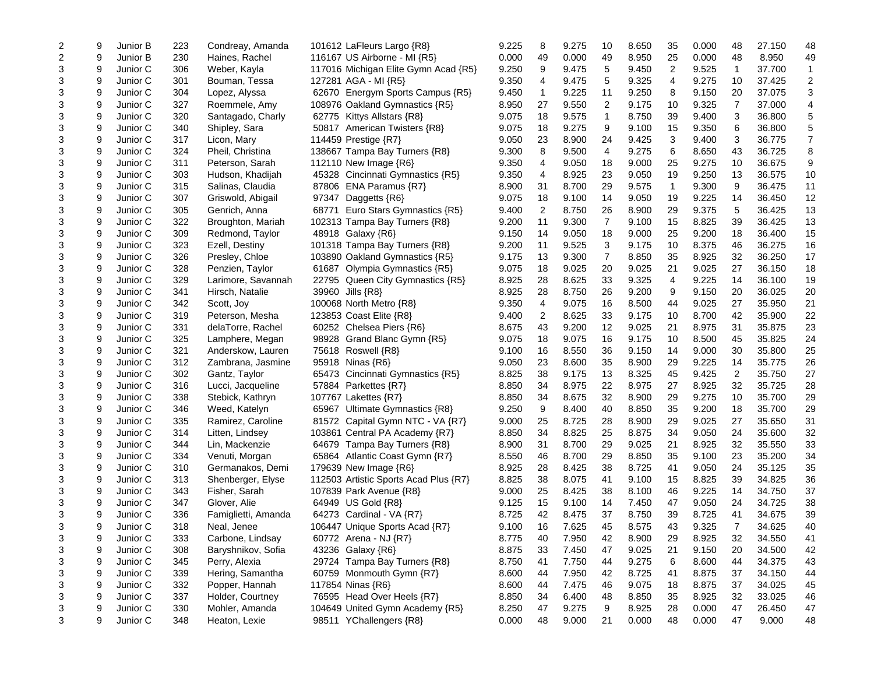| $\overline{c}$ | 9 | Junior B | 223 | Condreay, Amanda    | 101612 LaFleurs Largo {R8}            | 9.225 | 8              | 9.275 | 10             | 8.650 | 35             | 0.000 | 48 | 27.150 | 48             |
|----------------|---|----------|-----|---------------------|---------------------------------------|-------|----------------|-------|----------------|-------|----------------|-------|----|--------|----------------|
| $\overline{2}$ | 9 | Junior B | 230 | Haines, Rachel      | 116167 US Airborne - MI {R5}          | 0.000 | 49             | 0.000 | 49             | 8.950 | 25             | 0.000 | 48 | 8.950  | 49             |
| 3              | 9 | Junior C | 306 | Weber, Kayla        | 117016 Michigan Elite Gymn Acad {R5}  | 9.250 | 9              | 9.475 | 5              | 9.450 | $\overline{2}$ | 9.525 | 1  | 37.700 | 1              |
| 3              | 9 | Junior C | 301 | Bouman, Tessa       | 127281 AGA - MI {R5}                  | 9.350 | 4              | 9.475 | 5              | 9.325 | 4              | 9.275 | 10 | 37.425 | 2              |
| 3              | 9 | Junior C | 304 | Lopez, Alyssa       | 62670 Energym Sports Campus {R5}      | 9.450 | $\mathbf{1}$   | 9.225 | 11             | 9.250 | 8              | 9.150 | 20 | 37.075 | 3              |
| 3              | 9 | Junior C | 327 | Roemmele, Amy       | 108976 Oakland Gymnastics {R5}        | 8.950 | 27             | 9.550 | 2              | 9.175 | 10             | 9.325 | 7  | 37.000 | 4              |
| 3              | 9 | Junior C | 320 | Santagado, Charly   | 62775 Kittys Allstars {R8}            | 9.075 | 18             | 9.575 | 1              | 8.750 | 39             | 9.400 | 3  | 36.800 | 5              |
| 3              | 9 | Junior C | 340 | Shipley, Sara       | 50817 American Twisters {R8}          | 9.075 | 18             | 9.275 | 9              | 9.100 | 15             | 9.350 | 6  | 36.800 | 5              |
| $\mathbf{3}$   | 9 | Junior C | 317 | Licon, Mary         | 114459 Prestige {R7}                  | 9.050 | 23             | 8.900 | 24             | 9.425 | 3              | 9.400 | 3  | 36.775 | $\overline{7}$ |
| 3              | 9 | Junior C | 324 | Pheil, Christina    | 138667 Tampa Bay Turners {R8}         | 9.300 | 8              | 9.500 | 4              | 9.275 | 6              | 8.650 | 43 | 36.725 | 8              |
| 3              | 9 | Junior C | 311 | Peterson, Sarah     | 112110 New Image {R6}                 | 9.350 | 4              | 9.050 | 18             | 9.000 | 25             | 9.275 | 10 | 36.675 | 9              |
| 3              | 9 | Junior C | 303 | Hudson, Khadijah    | 45328 Cincinnati Gymnastics {R5}      | 9.350 | 4              | 8.925 | 23             | 9.050 | 19             | 9.250 | 13 | 36.575 | 10             |
| 3              | 9 | Junior C | 315 | Salinas, Claudia    | 87806 ENA Paramus {R7}                | 8.900 | 31             | 8.700 | 29             | 9.575 | $\mathbf{1}$   | 9.300 | 9  | 36.475 | 11             |
| 3              | 9 | Junior C | 307 | Griswold, Abigail   | 97347 Daggetts {R6}                   | 9.075 | 18             | 9.100 | 14             | 9.050 | 19             | 9.225 | 14 | 36.450 | 12             |
| 3              | 9 | Junior C | 305 | Genrich, Anna       | 68771 Euro Stars Gymnastics {R5}      | 9.400 | $\overline{2}$ | 8.750 | 26             | 8.900 | 29             | 9.375 | 5  | 36.425 | 13             |
| 3              | 9 | Junior C | 322 | Broughton, Mariah   | 102313 Tampa Bay Turners {R8}         | 9.200 | 11             | 9.300 | 7              | 9.100 | 15             | 8.825 | 39 | 36.425 | 13             |
| 3              | 9 | Junior C | 309 | Redmond, Taylor     | 48918 Galaxy {R6}                     | 9.150 | 14             | 9.050 | 18             | 9.000 | 25             | 9.200 | 18 | 36.400 | 15             |
| $\mathbf{3}$   | 9 | Junior C | 323 | Ezell, Destiny      | 101318 Tampa Bay Turners {R8}         | 9.200 | 11             | 9.525 | 3              | 9.175 | 10             | 8.375 | 46 | 36.275 | 16             |
| 3              | 9 | Junior C | 326 | Presley, Chloe      | 103890 Oakland Gymnastics {R5}        | 9.175 | 13             | 9.300 | $\overline{7}$ | 8.850 | 35             | 8.925 | 32 | 36.250 | 17             |
| 3              | 9 | Junior C | 328 | Penzien, Taylor     | 61687 Olympia Gymnastics {R5}         | 9.075 | 18             | 9.025 | 20             | 9.025 | 21             | 9.025 | 27 | 36.150 | 18             |
| 3              | 9 | Junior C | 329 | Larimore, Savannah  | 22795 Queen City Gymnastics {R5}      | 8.925 | 28             | 8.625 | 33             | 9.325 | 4              | 9.225 | 14 | 36.100 | 19             |
| $\mathbf{3}$   | 9 | Junior C | 341 | Hirsch, Natalie     | 39960 Jills {R8}                      | 8.925 | 28             | 8.750 | 26             | 9.200 | 9              | 9.150 | 20 | 36.025 | 20             |
| 3              | 9 | Junior C | 342 | Scott, Joy          | 100068 North Metro {R8}               | 9.350 | 4              | 9.075 | 16             | 8.500 | 44             | 9.025 | 27 | 35.950 | 21             |
| 3              | 9 | Junior C | 319 | Peterson, Mesha     | 123853 Coast Elite {R8}               | 9.400 | $\overline{2}$ | 8.625 | 33             | 9.175 | 10             | 8.700 | 42 | 35.900 | 22             |
| 3              | 9 | Junior C | 331 | delaTorre, Rachel   | 60252 Chelsea Piers {R6}              | 8.675 | 43             | 9.200 | 12             | 9.025 | 21             | 8.975 | 31 | 35.875 | 23             |
| 3              | 9 | Junior C | 325 | Lamphere, Megan     | 98928 Grand Blanc Gymn {R5}           | 9.075 | 18             | 9.075 | 16             | 9.175 | 10             | 8.500 | 45 | 35.825 | 24             |
| $\sqrt{3}$     | 9 | Junior C | 321 | Anderskow, Lauren   | 75618 Roswell {R8}                    | 9.100 | 16             | 8.550 | 36             | 9.150 | 14             | 9.000 | 30 | 35.800 | 25             |
| 3              | 9 | Junior C | 312 | Zambrana, Jasmine   | 95918 Ninas {R6}                      | 9.050 | 23             | 8.600 | 35             | 8.900 | 29             | 9.225 | 14 | 35.775 | 26             |
| 3              | 9 | Junior C | 302 | Gantz, Taylor       | 65473 Cincinnati Gymnastics {R5}      | 8.825 | 38             | 9.175 | 13             | 8.325 | 45             | 9.425 | 2  | 35.750 | 27             |
| 3              | 9 | Junior C | 316 | Lucci, Jacqueline   | 57884 Parkettes {R7}                  | 8.850 | 34             | 8.975 | 22             | 8.975 | 27             | 8.925 | 32 | 35.725 | 28             |
| $\mathbf{3}$   | 9 | Junior C | 338 | Stebick, Kathryn    | 107767 Lakettes {R7}                  | 8.850 | 34             | 8.675 | 32             | 8.900 | 29             | 9.275 | 10 | 35.700 | 29             |
| 3              | 9 | Junior C | 346 | Weed, Katelyn       | 65967 Ultimate Gymnastics {R8}        | 9.250 | 9              | 8.400 | 40             | 8.850 | 35             | 9.200 | 18 | 35.700 | 29             |
| 3              | 9 | Junior C | 335 | Ramirez, Caroline   | 81572 Capital Gymn NTC - VA {R7}      | 9.000 | 25             | 8.725 | 28             | 8.900 | 29             | 9.025 | 27 | 35.650 | 31             |
| 3              | 9 | Junior C | 314 | Litten, Lindsey     | 103861 Central PA Academy {R7}        | 8.850 | 34             | 8.825 | 25             | 8.875 | 34             | 9.050 | 24 | 35.600 | 32             |
| $\sqrt{3}$     | 9 | Junior C | 344 | Lin, Mackenzie      | 64679 Tampa Bay Turners {R8}          | 8.900 | 31             | 8.700 | 29             | 9.025 | 21             | 8.925 | 32 | 35.550 | 33             |
| $\mathbf{3}$   | 9 | Junior C | 334 | Venuti, Morgan      | 65864 Atlantic Coast Gymn {R7}        | 8.550 | 46             | 8.700 | 29             | 8.850 | 35             | 9.100 | 23 | 35.200 | 34             |
| 3              | 9 | Junior C | 310 | Germanakos, Demi    | 179639 New Image {R6}                 | 8.925 | 28             | 8.425 | 38             | 8.725 | 41             | 9.050 | 24 | 35.125 | 35             |
| 3              | 9 | Junior C | 313 | Shenberger, Elyse   | 112503 Artistic Sports Acad Plus {R7} | 8.825 | 38             | 8.075 | 41             | 9.100 | 15             | 8.825 | 39 | 34.825 | 36             |
| 3              | 9 | Junior C | 343 | Fisher, Sarah       | 107839 Park Avenue {R8}               | 9.000 | 25             | 8.425 | 38             | 8.100 | 46             | 9.225 | 14 | 34.750 | 37             |
| 3              | 9 | Junior C | 347 | Glover, Alie        | 64949 US Gold {R8}                    | 9.125 | 15             | 9.100 | 14             | 7.450 | 47             | 9.050 | 24 | 34.725 | 38             |
| 3              | 9 | Junior C | 336 | Famiglietti, Amanda | 64273 Cardinal - VA {R7}              | 8.725 | 42             | 8.475 | 37             | 8.750 | 39             | 8.725 | 41 | 34.675 | 39             |
| 3              | 9 | Junior C | 318 | Neal, Jenee         | 106447 Unique Sports Acad {R7}        | 9.100 | 16             | 7.625 | 45             | 8.575 | 43             | 9.325 | 7  | 34.625 | 40             |
| 3              | 9 | Junior C | 333 | Carbone, Lindsay    | 60772 Arena - NJ $\{R7\}$             | 8.775 | 40             | 7.950 | 42             | 8.900 | 29             | 8.925 | 32 | 34.550 | 41             |
| 3              | 9 | Junior C | 308 | Baryshnikov, Sofia  | 43236 Galaxy {R6}                     | 8.875 | 33             | 7.450 | 47             | 9.025 | 21             | 9.150 | 20 | 34.500 | 42             |
| 3              | 9 | Junior C | 345 | Perry, Alexia       | 29724 Tampa Bay Turners {R8}          | 8.750 | 41             | 7.750 | 44             | 9.275 | 6              | 8.600 | 44 | 34.375 | 43             |
| 3              | 9 | Junior C | 339 | Hering, Samantha    | 60759 Monmouth Gymn {R7}              | 8.600 | 44             | 7.950 | 42             | 8.725 | 41             | 8.875 | 37 | 34.150 | 44             |
| 3              | 9 | Junior C | 332 | Popper, Hannah      | 117854 Ninas {R6}                     | 8.600 | 44             | 7.475 | 46             | 9.075 | 18             | 8.875 | 37 | 34.025 | 45             |
| 3              | 9 | Junior C | 337 | Holder, Courtney    | 76595 Head Over Heels {R7}            | 8.850 | 34             | 6.400 | 48             | 8.850 | 35             | 8.925 | 32 | 33.025 | 46             |
| 3              | 9 | Junior C | 330 | Mohler, Amanda      | 104649 United Gymn Academy {R5}       | 8.250 | 47             | 9.275 | 9              | 8.925 | 28             | 0.000 | 47 | 26.450 | 47             |
| 3              | 9 | Junior C | 348 | Heaton, Lexie       | 98511 YChallengers {R8}               | 0.000 | 48             | 9.000 | 21             | 0.000 | 48             | 0.000 | 47 | 9.000  | 48             |
|                |   |          |     |                     |                                       |       |                |       |                |       |                |       |    |        |                |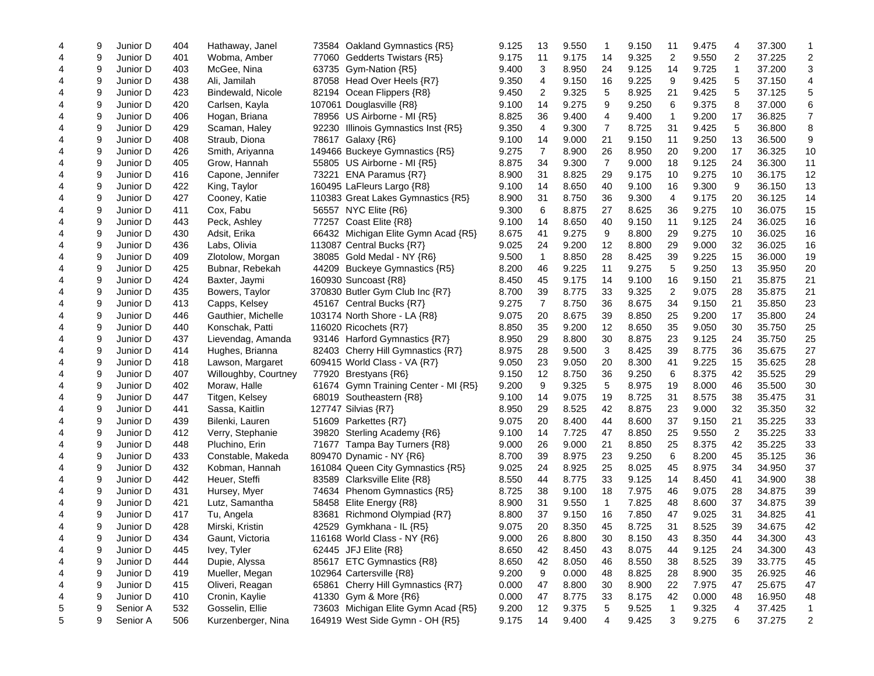| 4 | 9 | Junior D | 404 | Hathaway, Janel      | 73584 Oakland Gymnastics {R5}          | 9.125 | 13                      | 9.550 | 1              | 9.150 | 11                      | 9.475 | 4  | 37.300 |                |
|---|---|----------|-----|----------------------|----------------------------------------|-------|-------------------------|-------|----------------|-------|-------------------------|-------|----|--------|----------------|
| 4 | 9 | Junior D | 401 | Wobma, Amber         | Gedderts Twistars {R5}<br>77060        | 9.175 | 11                      | 9.175 | 14             | 9.325 | 2                       | 9.550 | 2  | 37.225 | 2              |
| 4 | 9 | Junior D | 403 | McGee, Nina          | 63735 Gym-Nation {R5}                  | 9.400 | 3                       | 8.950 | 24             | 9.125 | 14                      | 9.725 | 1  | 37.200 | 3              |
| 4 | 9 | Junior D | 438 | Ali, Jamilah         | 87058 Head Over Heels {R7}             | 9.350 | 4                       | 9.150 | 16             | 9.225 | 9                       | 9.425 | 5  | 37.150 | 4              |
| 4 | 9 | Junior D | 423 | Bindewald, Nicole    | 82194<br>Ocean Flippers {R8}           | 9.450 | $\overline{\mathbf{c}}$ | 9.325 | 5              | 8.925 | 21                      | 9.425 | 5  | 37.125 | 5              |
| 4 | 9 | Junior D | 420 | Carlsen, Kayla       | 107061 Douglasville {R8}               | 9.100 | 14                      | 9.275 | 9              | 9.250 | 6                       | 9.375 | 8  | 37.000 | 6              |
| 4 | 9 | Junior D | 406 | Hogan, Briana        | 78956 US Airborne - MI {R5}            | 8.825 | 36                      | 9.400 | 4              | 9.400 | -1                      | 9.200 | 17 | 36.825 | $\overline{7}$ |
| 4 | 9 | Junior D | 429 | Scaman, Haley        | 92230<br>Illinois Gymnastics Inst {R5} | 9.350 | 4                       | 9.300 | 7              | 8.725 | 31                      | 9.425 | 5  | 36.800 | 8              |
| 4 | 9 | Junior D | 408 | Straub, Diona        | 78617<br>Galaxy {R6}                   | 9.100 | 14                      | 9.000 | 21             | 9.150 | 11                      | 9.250 | 13 | 36.500 | 9              |
| 4 | 9 | Junior D | 426 | Smith, Ariyanna      | 149466 Buckeye Gymnastics {R5}         | 9.275 | $\overline{7}$          | 8.900 | 26             | 8.950 | 20                      | 9.200 | 17 | 36.325 | 10             |
| 4 | 9 | Junior D | 405 | Grow, Hannah         | 55805 US Airborne - MI {R5}            | 8.875 | 34                      | 9.300 | $\overline{7}$ | 9.000 | 18                      | 9.125 | 24 | 36.300 | 11             |
| 4 | 9 | Junior D | 416 | Capone, Jennifer     | 73221 ENA Paramus {R7}                 | 8.900 | 31                      | 8.825 | 29             | 9.175 | 10                      | 9.275 | 10 | 36.175 | 12             |
| 4 | 9 | Junior D | 422 | King, Taylor         | 160495 LaFleurs Largo {R8}             | 9.100 | 14                      | 8.650 | 40             | 9.100 | 16                      | 9.300 | 9  | 36.150 | 13             |
| 4 | 9 | Junior D | 427 | Cooney, Katie        | 110383 Great Lakes Gymnastics {R5}     | 8.900 | 31                      | 8.750 | 36             | 9.300 | 4                       | 9.175 | 20 | 36.125 | 14             |
| 4 | 9 | Junior D | 411 | Cox, Fabu            | 56557 NYC Elite {R6}                   | 9.300 | 6                       | 8.875 | 27             | 8.625 | 36                      | 9.275 | 10 | 36.075 | 15             |
| 4 | 9 | Junior D | 443 | Peck, Ashley         | 77257 Coast Elite {R8}                 | 9.100 | 14                      | 8.650 | 40             | 9.150 | 11                      | 9.125 | 24 | 36.025 | 16             |
| 4 | 9 | Junior D | 430 | Adsit, Erika         | 66432 Michigan Elite Gymn Acad {R5}    | 8.675 | 41                      | 9.275 | 9              | 8.800 | 29                      | 9.275 | 10 | 36.025 | 16             |
| 4 | 9 | Junior D | 436 | Labs, Olivia         | 113087 Central Bucks {R7}              | 9.025 | 24                      | 9.200 | 12             | 8.800 | 29                      | 9.000 | 32 | 36.025 | 16             |
| 4 | 9 | Junior D | 409 | Zlotolow, Morgan     | 38085 Gold Medal - NY {R6}             | 9.500 | $\mathbf{1}$            | 8.850 | 28             | 8.425 | 39                      | 9.225 | 15 | 36.000 | 19             |
| 4 | 9 | Junior D | 425 | Bubnar, Rebekah      | 44209 Buckeye Gymnastics {R5}          | 8.200 | 46                      | 9.225 | 11             | 9.275 | 5                       | 9.250 | 13 | 35.950 | 20             |
| 4 | 9 | Junior D | 424 | Baxter, Jaymi        | 160930 Suncoast {R8}                   | 8.450 | 45                      | 9.175 | 14             | 9.100 | 16                      | 9.150 | 21 | 35.875 | 21             |
| 4 | 9 | Junior D | 435 | Bowers, Taylor       | 370830 Butler Gym Club Inc {R7}        | 8.700 | 39                      | 8.775 | 33             | 9.325 | $\overline{\mathbf{c}}$ | 9.075 | 28 | 35.875 | 21             |
| 4 | 9 | Junior D | 413 | Capps, Kelsey        | 45167 Central Bucks {R7}               | 9.275 | $\overline{7}$          | 8.750 | 36             | 8.675 | 34                      | 9.150 | 21 | 35.850 | 23             |
| 4 | 9 | Junior D | 446 | Gauthier, Michelle   | 103174 North Shore - LA {R8}           | 9.075 | 20                      | 8.675 | 39             | 8.850 | 25                      | 9.200 | 17 | 35.800 | 24             |
| 4 | 9 | Junior D | 440 | Konschak, Patti      | 116020 Ricochets {R7}                  | 8.850 | 35                      | 9.200 | 12             | 8.650 | 35                      | 9.050 | 30 | 35.750 | 25             |
| 4 | 9 | Junior D | 437 | Lievendag, Amanda    | 93146 Harford Gymnastics {R7}          | 8.950 | 29                      | 8.800 | 30             | 8.875 | 23                      | 9.125 | 24 | 35.750 | 25             |
| 4 | 9 | Junior D | 414 | Hughes, Brianna      | 82403 Cherry Hill Gymnastics {R7}      | 8.975 | 28                      | 9.500 | 3              | 8.425 | 39                      | 8.775 | 36 | 35.675 | 27             |
| 4 | 9 | Junior D | 418 | Lawson, Margaret     | 609415 World Class - VA {R7}           | 9.050 | 23                      | 9.050 | 20             | 8.300 | 41                      | 9.225 | 15 | 35.625 | 28             |
| 4 | 9 | Junior D | 407 | Willoughby, Courtney | 77920 Brestyans {R6}                   | 9.150 | 12                      | 8.750 | 36             | 9.250 | 6                       | 8.375 | 42 | 35.525 | 29             |
| 4 | 9 | Junior D | 402 | Moraw, Halle         | 61674 Gymn Training Center - MI {R5}   | 9.200 | 9                       | 9.325 | 5              | 8.975 | 19                      | 8.000 | 46 | 35.500 | 30             |
| 4 | 9 | Junior D | 447 | Titgen, Kelsey       | 68019 Southeastern {R8}                | 9.100 | 14                      | 9.075 | 19             | 8.725 | 31                      | 8.575 | 38 | 35.475 | 31             |
| 4 | 9 | Junior D | 441 | Sassa, Kaitlin       | 127747 Silvias {R7}                    | 8.950 | 29                      | 8.525 | 42             | 8.875 | 23                      | 9.000 | 32 | 35.350 | 32             |
| 4 | 9 | Junior D | 439 | Bilenki, Lauren      | 51609 Parkettes {R7}                   | 9.075 | 20                      | 8.400 | 44             | 8.600 | 37                      | 9.150 | 21 | 35.225 | 33             |
| 4 | 9 | Junior D | 412 | Verry, Stephanie     | 39820<br>Sterling Academy {R6}         | 9.100 | 14                      | 7.725 | 47             | 8.850 | 25                      | 9.550 | 2  | 35.225 | 33             |
| 4 | 9 | Junior D | 448 | Pluchino, Erin       | 71677 Tampa Bay Turners {R8}           | 9.000 | 26                      | 9.000 | 21             | 8.850 | 25                      | 8.375 | 42 | 35.225 | 33             |
| 4 | 9 | Junior D | 433 | Constable, Makeda    | 809470 Dynamic - NY {R6}               | 8.700 | 39                      | 8.975 | 23             | 9.250 | 6                       | 8.200 | 45 | 35.125 | 36             |
| 4 | 9 | Junior D | 432 | Kobman, Hannah       | 161084 Queen City Gymnastics {R5}      | 9.025 | 24                      | 8.925 | 25             | 8.025 | 45                      | 8.975 | 34 | 34.950 | 37             |
| 4 | 9 | Junior D | 442 | Heuer, Steffi        | Clarksville Elite {R8}<br>83589        | 8.550 | 44                      | 8.775 | 33             | 9.125 | 14                      | 8.450 | 41 | 34.900 | 38             |
| 4 | 9 | Junior D | 431 | Hursey, Myer         | Phenom Gymnastics {R5}<br>74634        | 8.725 | 38                      | 9.100 | 18             | 7.975 | 46                      | 9.075 | 28 | 34.875 | 39             |
| 4 | 9 | Junior D | 421 | Lutz, Samantha       | 58458 Elite Energy {R8}                | 8.900 | 31                      | 9.550 | 1              | 7.825 | 48                      | 8.600 | 37 | 34.875 | 39             |
| 4 | 9 | Junior D | 417 | Tu, Angela           | 83681<br>Richmond Olympiad {R7}        | 8.800 | 37                      | 9.150 | 16             | 7.850 | 47                      | 9.025 | 31 | 34.825 | 41             |
| 4 | 9 | Junior D | 428 | Mirski, Kristin      | 42529 Gymkhana - IL {R5}               | 9.075 | 20                      | 8.350 | 45             | 8.725 | 31                      | 8.525 | 39 | 34.675 | 42             |
| 4 | 9 | Junior D | 434 | Gaunt, Victoria      | 116168 World Class - NY $\{R6\}$       | 9.000 | 26                      | 8.800 | 30             | 8.150 | 43                      | 8.350 | 44 | 34.300 | 43             |
| 4 | 9 | Junior D | 445 | Ivey, Tyler          | 62445 JFJ Elite {R8}                   | 8.650 | 42                      | 8.450 | 43             | 8.075 | 44                      | 9.125 | 24 | 34.300 | 43             |
| 4 | 9 | Junior D | 444 | Dupie, Alyssa        | 85617 ETC Gymnastics {R8}              | 8.650 | 42                      | 8.050 | 46             | 8.550 | 38                      | 8.525 | 39 | 33.775 | 45             |
| 4 | 9 | Junior D | 419 | Mueller, Megan       | 102964 Cartersville {R8}               | 9.200 | 9                       | 0.000 | 48             | 8.825 | 28                      | 8.900 | 35 | 26.925 | 46             |
| 4 | 9 | Junior D | 415 | Oliveri, Reagan      | Cherry Hill Gymnastics {R7}<br>65861   | 0.000 | 47                      | 8.800 | 30             | 8.900 | 22                      | 7.975 | 47 | 25.675 | 47             |
| 4 | 9 | Junior D | 410 | Cronin, Kaylie       | 41330 Gym & More {R6}                  | 0.000 | 47                      | 8.775 | 33             | 8.175 | 42                      | 0.000 | 48 | 16.950 | 48             |
| 5 | 9 | Senior A | 532 | Gosselin, Ellie      | 73603 Michigan Elite Gymn Acad {R5}    | 9.200 | 12                      | 9.375 | 5              | 9.525 | $\mathbf{1}$            | 9.325 | 4  | 37.425 | 1              |
| 5 | 9 | Senior A | 506 | Kurzenberger, Nina   | 164919 West Side Gymn - OH {R5}        | 9.175 | 14                      | 9.400 | 4              | 9.425 | 3                       | 9.275 | 6  | 37.275 | 2              |
|   |   |          |     |                      |                                        |       |                         |       |                |       |                         |       |    |        |                |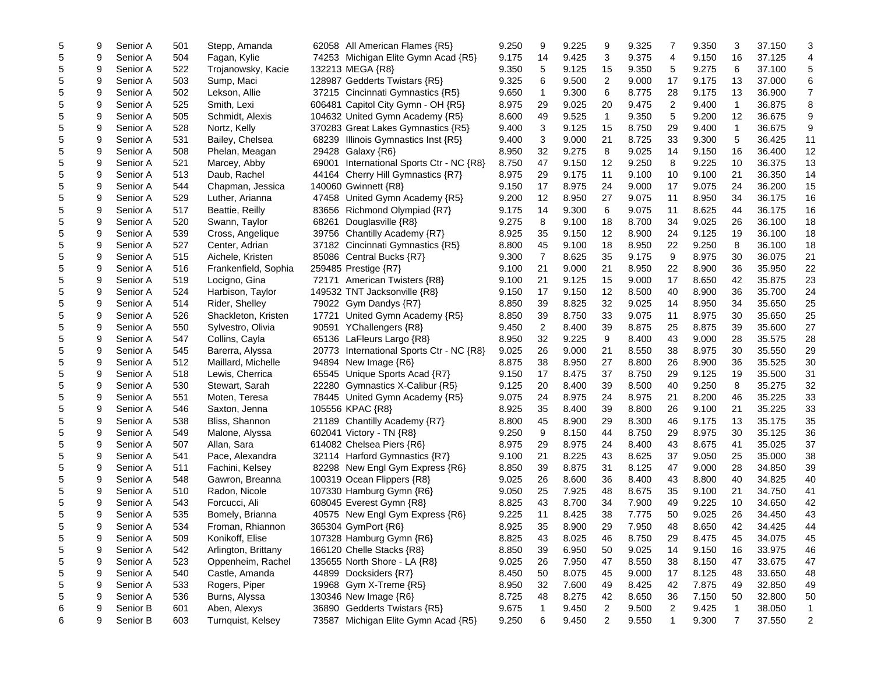| 5          | 9 | Senior A | 501 | Stepp, Amanda        | 62058 All American Flames {R5}              | 9.250 | 9              | 9.225 | 9              | 9.325 | 7              | 9.350 | 3              | 37.150 | 3              |
|------------|---|----------|-----|----------------------|---------------------------------------------|-------|----------------|-------|----------------|-------|----------------|-------|----------------|--------|----------------|
| 5          | 9 | Senior A | 504 | Fagan, Kylie         | 74253 Michigan Elite Gymn Acad {R5}         | 9.175 | 14             | 9.425 | 3              | 9.375 | 4              | 9.150 | 16             | 37.125 | 4              |
| 5          | 9 | Senior A | 522 | Trojanowsky, Kacie   | 132213 MEGA {R8}                            | 9.350 | 5              | 9.125 | 15             | 9.350 | 5              | 9.275 | 6              | 37.100 | 5              |
| 5          | 9 | Senior A | 503 | Sump, Maci           | 128987 Gedderts Twistars {R5}               | 9.325 | 6              | 9.500 | 2              | 9.000 | 17             | 9.175 | 13             | 37.000 | 6              |
| 5          | 9 | Senior A | 502 | Lekson, Allie        | 37215 Cincinnati Gymnastics {R5}            | 9.650 | 1              | 9.300 | 6              | 8.775 | 28             | 9.175 | 13             | 36.900 | $\overline{7}$ |
| 5          | 9 | Senior A | 525 | Smith, Lexi          | 606481 Capitol City Gymn - OH {R5}          | 8.975 | 29             | 9.025 | 20             | 9.475 | $\overline{2}$ | 9.400 | $\mathbf{1}$   | 36.875 | 8              |
| 5          | 9 | Senior A | 505 | Schmidt, Alexis      | 104632 United Gymn Academy {R5}             | 8.600 | 49             | 9.525 | $\mathbf{1}$   | 9.350 | 5              | 9.200 | 12             | 36.675 | 9              |
| 5          | 9 | Senior A | 528 | Nortz, Kelly         | 370283 Great Lakes Gymnastics {R5}          | 9.400 | 3              | 9.125 | 15             | 8.750 | 29             | 9.400 | 1              | 36.675 | 9              |
| 5          | 9 | Senior A | 531 | Bailey, Chelsea      | 68239 Illinois Gymnastics Inst {R5}         | 9.400 | 3              | 9.000 | 21             | 8.725 | 33             | 9.300 | 5              | 36.425 | 11             |
| 5          | 9 | Senior A | 508 | Phelan, Meagan       | 29428 Galaxy {R6}                           | 8.950 | 32             | 9.275 | 8              | 9.025 | 14             | 9.150 | 16             | 36.400 | 12             |
| 5          | 9 | Senior A | 521 | Marcey, Abby         | 69001 International Sports Ctr - NC {R8}    | 8.750 | 47             | 9.150 | 12             | 9.250 | 8              | 9.225 | 10             | 36.375 | 13             |
| 5          | 9 | Senior A | 513 | Daub, Rachel         | Cherry Hill Gymnastics {R7}<br>44164        | 8.975 | 29             | 9.175 | 11             | 9.100 | 10             | 9.100 | 21             | 36.350 | 14             |
| 5          | 9 | Senior A | 544 | Chapman, Jessica     | 140060 Gwinnett {R8}                        | 9.150 | 17             | 8.975 | 24             | 9.000 | 17             | 9.075 | 24             | 36.200 | 15             |
| 5          | 9 | Senior A | 529 | Luther, Arianna      | 47458 United Gymn Academy {R5}              | 9.200 | 12             | 8.950 | 27             | 9.075 | 11             | 8.950 | 34             | 36.175 | 16             |
|            | 9 | Senior A | 517 | Beattie, Reilly      |                                             | 9.175 | 14             | 9.300 | 6              | 9.075 | 11             | 8.625 | 44             | 36.175 | 16             |
| 5          |   |          |     |                      | 83656 Richmond Olympiad {R7}                |       |                |       |                |       |                |       |                |        |                |
| 5          | 9 | Senior A | 520 | Swann, Taylor        | 68261<br>Douglasville {R8}                  | 9.275 | 8              | 9.100 | 18             | 8.700 | 34             | 9.025 | 26             | 36.100 | 18             |
| 5          | 9 | Senior A | 539 | Cross, Angelique     | 39756 Chantilly Academy {R7}                | 8.925 | 35             | 9.150 | 12             | 8.900 | 24             | 9.125 | 19             | 36.100 | 18             |
| 5          | 9 | Senior A | 527 | Center, Adrian       | 37182 Cincinnati Gymnastics {R5}            | 8.800 | 45             | 9.100 | 18             | 8.950 | 22             | 9.250 | 8              | 36.100 | 18             |
| 5          | 9 | Senior A | 515 | Aichele, Kristen     | 85086<br>Central Bucks {R7}                 | 9.300 | $\overline{7}$ | 8.625 | 35             | 9.175 | 9              | 8.975 | 30             | 36.075 | 21             |
| 5          | 9 | Senior A | 516 | Frankenfield, Sophia | 259485 Prestige {R7}                        | 9.100 | 21             | 9.000 | 21             | 8.950 | 22             | 8.900 | 36             | 35.950 | 22             |
| 5          | 9 | Senior A | 519 | Locigno, Gina        | 72171 American Twisters {R8}                | 9.100 | 21             | 9.125 | 15             | 9.000 | 17             | 8.650 | 42             | 35.875 | 23             |
| $\sqrt{5}$ | 9 | Senior A | 524 | Harbison, Taylor     | 149532 TNT Jacksonville {R8}                | 9.150 | 17             | 9.150 | 12             | 8.500 | 40             | 8.900 | 36             | 35.700 | 24             |
| 5          | 9 | Senior A | 514 | Rider, Shelley       | 79022 Gym Dandys {R7}                       | 8.850 | 39             | 8.825 | 32             | 9.025 | 14             | 8.950 | 34             | 35.650 | 25             |
| 5          | 9 | Senior A | 526 | Shackleton, Kristen  | 17721<br>United Gymn Academy {R5}           | 8.850 | 39             | 8.750 | 33             | 9.075 | 11             | 8.975 | 30             | 35.650 | 25             |
| 5          | 9 | Senior A | 550 | Sylvestro, Olivia    | 90591 YChallengers {R8}                     | 9.450 | 2              | 8.400 | 39             | 8.875 | 25             | 8.875 | 39             | 35.600 | 27             |
| 5          | 9 | Senior A | 547 | Collins, Cayla       | 65136 LaFleurs Largo {R8}                   | 8.950 | 32             | 9.225 | 9              | 8.400 | 43             | 9.000 | 28             | 35.575 | 28             |
| 5          | 9 | Senior A | 545 | Barerra, Alyssa      | 20773<br>International Sports Ctr - NC {R8} | 9.025 | 26             | 9.000 | 21             | 8.550 | 38             | 8.975 | 30             | 35.550 | 29             |
| 5          | 9 | Senior A | 512 | Maillard, Michelle   | 94894<br>New Image {R6}                     | 8.875 | 38             | 8.950 | 27             | 8.800 | 26             | 8.900 | 36             | 35.525 | 30             |
| 5          | 9 | Senior A | 518 | Lewis, Cherrica      | 65545 Unique Sports Acad {R7}               | 9.150 | 17             | 8.475 | 37             | 8.750 | 29             | 9.125 | 19             | 35.500 | 31             |
| 5          | 9 | Senior A | 530 | Stewart, Sarah       | 22280<br>Gymnastics X-Calibur {R5}          | 9.125 | 20             | 8.400 | 39             | 8.500 | 40             | 9.250 | 8              | 35.275 | 32             |
| 5          | 9 | Senior A | 551 | Moten, Teresa        | 78445 United Gymn Academy {R5}              | 9.075 | 24             | 8.975 | 24             | 8.975 | 21             | 8.200 | 46             | 35.225 | 33             |
| 5          | 9 | Senior A | 546 | Saxton, Jenna        | 105556 KPAC {R8}                            | 8.925 | 35             | 8.400 | 39             | 8.800 | 26             | 9.100 | 21             | 35.225 | 33             |
| 5          | 9 | Senior A | 538 | Bliss, Shannon       | 21189 Chantilly Academy {R7}                | 8.800 | 45             | 8.900 | 29             | 8.300 | 46             | 9.175 | 13             | 35.175 | 35             |
| 5          | 9 | Senior A | 549 | Malone, Alyssa       | 602041 Victory - TN {R8}                    | 9.250 | 9              | 8.150 | 44             | 8.750 | 29             | 8.975 | 30             | 35.125 | 36             |
| 5          | 9 | Senior A | 507 | Allan, Sara          | 614082 Chelsea Piers {R6}                   | 8.975 | 29             | 8.975 | 24             | 8.400 | 43             | 8.675 | 41             | 35.025 | 37             |
| 5          | 9 | Senior A | 541 | Pace, Alexandra      | 32114 Harford Gymnastics {R7}               | 9.100 | 21             | 8.225 | 43             | 8.625 | 37             | 9.050 | 25             | 35.000 | 38             |
| 5          | 9 | Senior A | 511 | Fachini, Kelsey      | 82298 New Engl Gym Express {R6}             | 8.850 | 39             | 8.875 | 31             | 8.125 | 47             | 9.000 | 28             | 34.850 | 39             |
| 5          | 9 | Senior A | 548 | Gawron, Breanna      | 100319 Ocean Flippers {R8}                  | 9.025 | 26             | 8.600 | 36             | 8.400 | 43             | 8.800 | 40             | 34.825 | 40             |
| 5          | 9 | Senior A | 510 | Radon, Nicole        | 107330 Hamburg Gymn {R6}                    | 9.050 | 25             | 7.925 | 48             | 8.675 | 35             | 9.100 | 21             | 34.750 | 41             |
| 5          | 9 | Senior A | 543 | Forcucci, Ali        | 608045 Everest Gymn {R8}                    | 8.825 | 43             | 8.700 | 34             | 7.900 | 49             | 9.225 | 10             | 34.650 | 42             |
| 5          | 9 | Senior A | 535 | Bomely, Brianna      | 40575 New Engl Gym Express {R6}             | 9.225 | 11             | 8.425 | 38             | 7.775 | 50             | 9.025 | 26             | 34.450 | 43             |
| 5          | 9 | Senior A | 534 | Froman, Rhiannon     | 365304 GymPort {R6}                         | 8.925 | 35             | 8.900 | 29             | 7.950 | 48             | 8.650 | 42             | 34.425 | 44             |
| 5          | 9 | Senior A | 509 | Konikoff, Elise      | 107328 Hamburg Gymn {R6}                    | 8.825 | 43             | 8.025 | 46             | 8.750 | 29             | 8.475 | 45             | 34.075 | 45             |
| 5          | 9 | Senior A | 542 | Arlington, Brittany  | 166120 Chelle Stacks {R8}                   | 8.850 | 39             | 6.950 | 50             | 9.025 | 14             | 9.150 | 16             | 33.975 | 46             |
| 5          | 9 | Senior A | 523 | Oppenheim, Rachel    | 135655 North Shore - LA {R8}                | 9.025 | 26             | 7.950 | 47             | 8.550 | 38             | 8.150 | 47             | 33.675 | 47             |
| 5          | 9 | Senior A | 540 | Castle, Amanda       | 44899 Docksiders {R7}                       | 8.450 | 50             | 8.075 | 45             | 9.000 | 17             | 8.125 | 48             | 33.650 | 48             |
| 5          | 9 | Senior A | 533 | Rogers, Piper        | 19968 Gym X-Treme {R5}                      | 8.950 | 32             | 7.600 | 49             | 8.425 | 42             | 7.875 | 49             | 32.850 | 49             |
| 5          | 9 | Senior A | 536 | Burns, Alyssa        | 130346 New Image {R6}                       | 8.725 | 48             | 8.275 | 42             | 8.650 | 36             | 7.150 | 50             | 32.800 | 50             |
| 6          | 9 | Senior B | 601 | Aben, Alexys         | 36890 Gedderts Twistars {R5}                | 9.675 | 1              | 9.450 | $\overline{c}$ | 9.500 | $\overline{2}$ | 9.425 | 1              | 38.050 | 1              |
| 6          | 9 | Senior B | 603 | Turnquist, Kelsey    | Michigan Elite Gymn Acad {R5}<br>73587      | 9.250 | 6              | 9.450 | $\overline{2}$ | 9.550 | $\mathbf{1}$   | 9.300 | $\overline{7}$ | 37.550 | 2              |
|            |   |          |     |                      |                                             |       |                |       |                |       |                |       |                |        |                |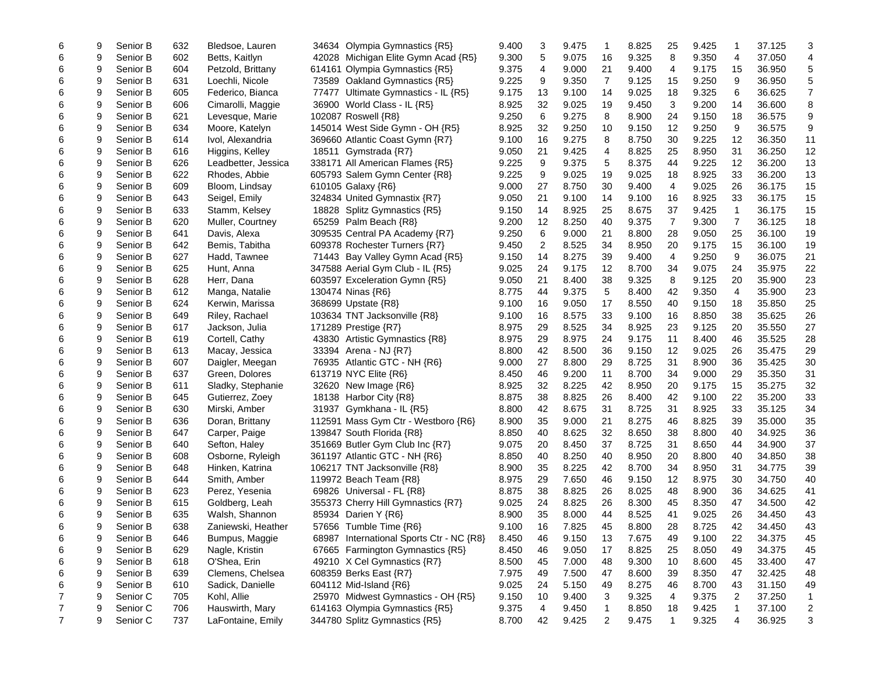| 6 | 9 | Senior B | 632 | Bledsoe, Lauren     | 34634 Olympia Gymnastics {R5}            | 9.400 | 3  | 9.475 | 1              | 8.825 | 25           | 9.425 | 1            | 37.125 | 3                       |
|---|---|----------|-----|---------------------|------------------------------------------|-------|----|-------|----------------|-------|--------------|-------|--------------|--------|-------------------------|
| 6 | 9 | Senior B | 602 | Betts, Kaitlyn      | 42028 Michigan Elite Gymn Acad {R5}      | 9.300 | 5  | 9.075 | 16             | 9.325 | 8            | 9.350 | 4            | 37.050 | 4                       |
| 6 | 9 | Senior B | 604 | Petzold, Brittany   | 614161 Olympia Gymnastics {R5}           | 9.375 | 4  | 9.000 | 21             | 9.400 | 4            | 9.175 | 15           | 36.950 | 5                       |
| 6 | 9 | Senior B | 631 | Loechli, Nicole     | 73589 Oakland Gymnastics {R5}            | 9.225 | 9  | 9.350 | 7              | 9.125 | 15           | 9.250 | 9            | 36.950 | 5                       |
| 6 | 9 | Senior B | 605 | Federico, Bianca    | 77477<br>Ultimate Gymnastics - IL {R5}   | 9.175 | 13 | 9.100 | 14             | 9.025 | 18           | 9.325 | 6            | 36.625 | $\overline{7}$          |
| 6 | 9 | Senior B | 606 | Cimarolli, Maggie   | 36900 World Class - IL {R5}              | 8.925 | 32 | 9.025 | 19             | 9.450 | 3            | 9.200 | 14           | 36.600 | 8                       |
| 6 | 9 | Senior B | 621 | Levesque, Marie     | 102087 Roswell {R8}                      | 9.250 | 6  | 9.275 | 8              | 8.900 | 24           | 9.150 | 18           | 36.575 | 9                       |
| 6 | 9 | Senior B | 634 | Moore, Katelyn      | 145014 West Side Gymn - OH {R5}          | 8.925 | 32 | 9.250 | 10             | 9.150 | 12           | 9.250 | 9            | 36.575 | 9                       |
| 6 | 9 | Senior B | 614 | Ivol, Alexandria    | 369660 Atlantic Coast Gymn {R7}          | 9.100 | 16 | 9.275 | 8              | 8.750 | 30           | 9.225 | 12           | 36.350 | 11                      |
| 6 | 9 | Senior B | 616 | Higgins, Kelley     | 18511 Gymstrada {R7}                     | 9.050 | 21 | 9.425 | 4              | 8.825 | 25           | 8.950 | 31           | 36.250 | 12                      |
| 6 | 9 | Senior B | 626 | Leadbetter, Jessica | 338171 All American Flames {R5}          | 9.225 | 9  | 9.375 | 5              | 8.375 | 44           | 9.225 | 12           | 36.200 | 13                      |
| 6 | 9 | Senior B | 622 | Rhodes, Abbie       | 605793 Salem Gymn Center {R8}            | 9.225 | 9  | 9.025 | 19             | 9.025 | 18           | 8.925 | 33           | 36.200 | 13                      |
| 6 | 9 | Senior B | 609 | Bloom, Lindsay      | 610105 Galaxy {R6}                       | 9.000 | 27 | 8.750 | 30             | 9.400 | 4            | 9.025 | 26           | 36.175 | 15                      |
| 6 | 9 | Senior B | 643 | Seigel, Emily       | 324834 United Gymnastix {R7}             | 9.050 | 21 | 9.100 | 14             | 9.100 | 16           | 8.925 | 33           | 36.175 | 15                      |
| 6 | 9 | Senior B | 633 | Stamm, Kelsey       | 18828 Splitz Gymnastics {R5}             | 9.150 | 14 | 8.925 | 25             | 8.675 | 37           | 9.425 | 1            | 36.175 | 15                      |
| 6 | 9 | Senior B | 620 | Muller, Courtney    | 65259 Palm Beach {R8}                    | 9.200 | 12 | 8.250 | 40             | 9.375 | 7            | 9.300 | 7            | 36.125 | 18                      |
| 6 | 9 | Senior B | 641 | Davis, Alexa        | 309535 Central PA Academy {R7}           | 9.250 | 6  | 9.000 | 21             | 8.800 | 28           | 9.050 | 25           | 36.100 | 19                      |
| 6 | 9 | Senior B | 642 | Bemis, Tabitha      | 609378 Rochester Turners {R7}            | 9.450 | 2  | 8.525 | 34             | 8.950 | 20           | 9.175 | 15           | 36.100 | 19                      |
| 6 | 9 | Senior B | 627 | Hadd, Tawnee        | 71443 Bay Valley Gymn Acad {R5}          | 9.150 | 14 | 8.275 | 39             | 9.400 | 4            | 9.250 | 9            | 36.075 | 21                      |
| 6 | 9 | Senior B | 625 | Hunt, Anna          | 347588 Aerial Gym Club - IL {R5}         | 9.025 | 24 | 9.175 | 12             | 8.700 | 34           | 9.075 | 24           | 35.975 | 22                      |
| 6 | 9 | Senior B | 628 | Herr, Dana          | 603597 Exceleration Gymn {R5}            | 9.050 | 21 | 8.400 | 38             | 9.325 | 8            | 9.125 | 20           | 35.900 | 23                      |
| 6 | 9 | Senior B | 612 | Manga, Natalie      | 130474 Ninas {R6}                        | 8.775 | 44 | 9.375 | 5              | 8.400 | 42           | 9.350 | 4            | 35.900 | 23                      |
| 6 | 9 | Senior B | 624 | Kerwin, Marissa     | 368699 Upstate {R8}                      | 9.100 | 16 | 9.050 | 17             | 8.550 | 40           | 9.150 | 18           | 35.850 | 25                      |
| 6 | 9 | Senior B | 649 | Riley, Rachael      | 103634 TNT Jacksonville {R8}             | 9.100 | 16 | 8.575 | 33             | 9.100 | 16           | 8.850 | 38           | 35.625 | 26                      |
| 6 | 9 | Senior B | 617 | Jackson, Julia      | 171289 Prestige {R7}                     | 8.975 | 29 | 8.525 | 34             | 8.925 | 23           | 9.125 | 20           | 35.550 | 27                      |
| 6 | 9 | Senior B | 619 | Cortell, Cathy      | 43830 Artistic Gymnastics {R8}           | 8.975 | 29 | 8.975 | 24             | 9.175 | 11           | 8.400 | 46           | 35.525 | 28                      |
| 6 | 9 | Senior B | 613 | Macay, Jessica      | 33394 Arena - NJ {R7}                    | 8.800 | 42 | 8.500 | 36             | 9.150 | 12           | 9.025 | 26           | 35.475 | 29                      |
| 6 | 9 | Senior B | 607 | Daigler, Meegan     | 76935 Atlantic GTC - NH {R6}             | 9.000 | 27 | 8.800 | 29             | 8.725 | 31           | 8.900 | 36           | 35.425 | 30                      |
| 6 | 9 | Senior B | 637 | Green, Dolores      | 613719 NYC Elite {R6}                    | 8.450 | 46 | 9.200 | 11             | 8.700 | 34           | 9.000 | 29           | 35.350 | 31                      |
| 6 | 9 | Senior B | 611 | Sladky, Stephanie   | 32620 New Image {R6}                     | 8.925 | 32 | 8.225 | 42             | 8.950 | 20           | 9.175 | 15           | 35.275 | 32                      |
| 6 | 9 | Senior B | 645 | Gutierrez, Zoey     | 18138 Harbor City {R8}                   | 8.875 | 38 | 8.825 | 26             | 8.400 | 42           | 9.100 | 22           | 35.200 | 33                      |
| 6 | 9 | Senior B | 630 | Mirski, Amber       | 31937 Gymkhana - IL {R5}                 | 8.800 | 42 | 8.675 | 31             | 8.725 | 31           | 8.925 | 33           | 35.125 | 34                      |
| 6 | 9 | Senior B | 636 | Doran, Brittany     | 112591 Mass Gym Ctr - Westboro {R6}      | 8.900 | 35 | 9.000 | 21             | 8.275 | 46           | 8.825 | 39           | 35.000 | 35                      |
| 6 | 9 | Senior B | 647 | Carper, Paige       | 139847 South Florida {R8}                | 8.850 | 40 | 8.625 | 32             | 8.650 | 38           | 8.800 | 40           | 34.925 | 36                      |
| 6 | 9 | Senior B | 640 | Sefton, Haley       | 351669 Butler Gym Club Inc {R7}          | 9.075 | 20 | 8.450 | 37             | 8.725 | 31           | 8.650 | 44           | 34.900 | 37                      |
| 6 | 9 | Senior B | 608 | Osborne, Ryleigh    | 361197 Atlantic GTC - NH {R6}            | 8.850 | 40 | 8.250 | 40             | 8.950 | 20           | 8.800 | 40           | 34.850 | 38                      |
| 6 | 9 | Senior B | 648 | Hinken, Katrina     | 106217 TNT Jacksonville {R8}             | 8.900 | 35 | 8.225 | 42             | 8.700 | 34           | 8.950 | 31           | 34.775 | 39                      |
| 6 | 9 | Senior B | 644 | Smith, Amber        | 119972 Beach Team {R8}                   | 8.975 | 29 | 7.650 | 46             | 9.150 | 12           | 8.975 | 30           | 34.750 | 40                      |
| 6 | 9 | Senior B | 623 | Perez, Yesenia      | 69826 Universal - FL {R8}                | 8.875 | 38 | 8.825 | 26             | 8.025 | 48           | 8.900 | 36           | 34.625 | 41                      |
| 6 | 9 | Senior B | 615 | Goldberg, Leah      | 355373 Cherry Hill Gymnastics {R7}       | 9.025 | 24 | 8.825 | 26             | 8.300 | 45           | 8.350 | 47           | 34.500 | 42                      |
| 6 | 9 | Senior B | 635 | Walsh, Shannon      | 85934 Darien Y {R6}                      | 8.900 | 35 | 8.000 | 44             | 8.525 | 41           | 9.025 | 26           | 34.450 | 43                      |
| 6 | 9 | Senior B | 638 | Zaniewski, Heather  | 57656 Tumble Time {R6}                   | 9.100 | 16 | 7.825 | 45             | 8.800 | 28           | 8.725 | 42           | 34.450 | 43                      |
| 6 | 9 | Senior B | 646 | Bumpus, Maggie      | 68987 International Sports Ctr - NC {R8} | 8.450 | 46 | 9.150 | 13             | 7.675 | 49           | 9.100 | 22           | 34.375 | 45                      |
| 6 | 9 | Senior B | 629 | Nagle, Kristin      | 67665 Farmington Gymnastics {R5}         | 8.450 | 46 | 9.050 | 17             | 8.825 | 25           | 8.050 | 49           | 34.375 | 45                      |
| 6 | 9 | Senior B | 618 | O'Shea, Erin        | 49210 X Cel Gymnastics {R7}              | 8.500 | 45 | 7.000 | 48             | 9.300 | 10           | 8.600 | 45           | 33.400 | 47                      |
| 6 | 9 | Senior B | 639 | Clemens, Chelsea    | 608359 Berks East {R7}                   | 7.975 | 49 | 7.500 | 47             | 8.600 | 39           | 8.350 | 47           | 32.425 | 48                      |
| 6 | 9 | Senior B | 610 | Sadick, Danielle    | 604112 Mid-Island {R6}                   | 9.025 | 24 | 5.150 | 49             | 8.275 | 46           | 8.700 | 43           | 31.150 | 49                      |
| 7 | 9 | Senior C | 705 | Kohl, Allie         | 25970 Midwest Gymnastics - OH {R5}       | 9.150 | 10 | 9.400 | 3              | 9.325 | 4            | 9.375 | 2            | 37.250 | $\mathbf{1}$            |
| 7 | 9 | Senior C | 706 | Hauswirth, Mary     | 614163 Olympia Gymnastics {R5}           | 9.375 | 4  | 9.450 | 1              | 8.850 | 18           | 9.425 | $\mathbf{1}$ | 37.100 | $\overline{\mathbf{c}}$ |
| 7 | 9 | Senior C | 737 | LaFontaine, Emily   | 344780 Splitz Gymnastics {R5}            | 8.700 | 42 | 9.425 | $\overline{2}$ | 9.475 | $\mathbf{1}$ | 9.325 | 4            | 36.925 | 3                       |
|   |   |          |     |                     |                                          |       |    |       |                |       |              |       |              |        |                         |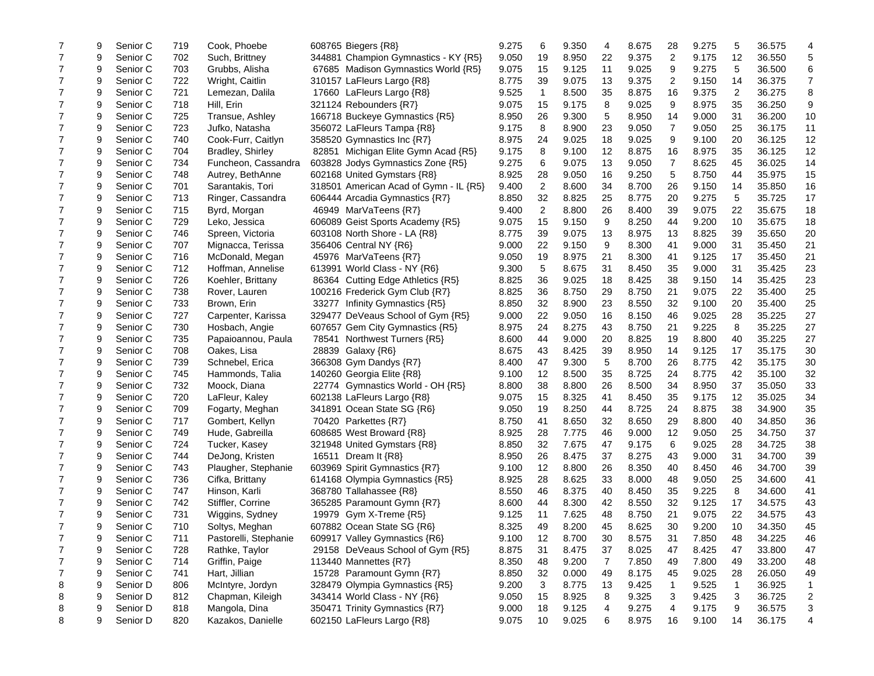| 7              | 9 | Senior C             | 719        | Cook, Phoebe          | 608765 Biegers {R8}                                  | 9.275 | 6              | 9.350          | 4              | 8.675          | 28 | 9.275          | 5  | 36.575 | 4                       |
|----------------|---|----------------------|------------|-----------------------|------------------------------------------------------|-------|----------------|----------------|----------------|----------------|----|----------------|----|--------|-------------------------|
| 7              | 9 | Senior C             | 702        | Such, Brittney        | 344881 Champion Gymnastics - KY {R5}                 | 9.050 | 19             | 8.950          | 22             | 9.375          | 2  | 9.175          | 12 | 36.550 | 5                       |
| 7              | 9 | Senior C             | 703        | Grubbs, Alisha        | 67685 Madison Gymnastics World {R5}                  | 9.075 | 15             | 9.125          | 11             | 9.025          | 9  | 9.275          | 5  | 36.500 | 6                       |
| 7              | 9 | Senior C             | 722        | Wright, Caitlin       | 310157 LaFleurs Largo {R8}                           | 8.775 | 39             | 9.075          | 13             | 9.375          | 2  | 9.150          | 14 | 36.375 | $\overline{7}$          |
| 7              | 9 | Senior C             | 721        | Lemezan, Dalila       | 17660 LaFleurs Largo {R8}                            | 9.525 | $\mathbf{1}$   | 8.500          | 35             | 8.875          | 16 | 9.375          | 2  | 36.275 | 8                       |
| 7              | 9 | Senior C             | 718        | Hill, Erin            | 321124 Rebounders {R7}                               | 9.075 | 15             | 9.175          | 8              | 9.025          | 9  | 8.975          | 35 | 36.250 | 9                       |
| 7              | 9 | Senior C             | 725        | Transue, Ashley       | 166718 Buckeye Gymnastics {R5}                       | 8.950 | 26             | 9.300          | 5              | 8.950          | 14 | 9.000          | 31 | 36.200 | 10                      |
| 7              | 9 | Senior C             | 723        | Jufko, Natasha        | 356072 LaFleurs Tampa {R8}                           | 9.175 | 8              | 8.900          | 23             | 9.050          | 7  | 9.050          | 25 | 36.175 | 11                      |
| 7              | 9 | Senior C             | 740        | Cook-Furr, Caitlyn    | 358520 Gymnastics Inc {R7}                           | 8.975 | 24             | 9.025          | 18             | 9.025          | 9  | 9.100          | 20 | 36.125 | 12                      |
| $\overline{7}$ | 9 | Senior C             | 704        | Bradley, Shirley      | 82851 Michigan Elite Gymn Acad {R5}                  | 9.175 | 8              | 9.100          | 12             | 8.875          | 16 | 8.975          | 35 | 36.125 | 12                      |
| 7              | 9 | Senior C             | 734        | Funcheon, Cassandra   | 603828 Jodys Gymnastics Zone {R5}                    | 9.275 | 6              | 9.075          | 13             | 9.050          | 7  | 8.625          | 45 | 36.025 | 14                      |
| $\overline{7}$ | 9 | Senior C             | 748        | Autrey, BethAnne      | 602168 United Gymstars {R8}                          | 8.925 | 28             | 9.050          | 16             | 9.250          | 5  | 8.750          | 44 | 35.975 | 15                      |
| 7              | 9 | Senior C             | 701        | Sarantakis, Tori      | 318501 American Acad of Gymn - IL {R5}               | 9.400 | $\overline{2}$ | 8.600          | 34             | 8.700          | 26 | 9.150          | 14 | 35.850 | 16                      |
| $\overline{7}$ | 9 | Senior C             | 713        | Ringer, Cassandra     | 606444 Arcadia Gymnastics {R7}                       | 8.850 | 32             | 8.825          | 25             | 8.775          | 20 | 9.275          | 5  | 35.725 | 17                      |
| 7              | 9 | Senior C             | 715        | Byrd, Morgan          | 46949 MarVaTeens {R7}                                | 9.400 | 2              | 8.800          | 26             | 8.400          | 39 | 9.075          | 22 | 35.675 | 18                      |
| 7              | 9 | Senior C             | 729        | Leko, Jessica         | 606089 Geist Sports Academy {R5}                     | 9.075 | 15             | 9.150          | 9              | 8.250          | 44 | 9.200          | 10 | 35.675 | 18                      |
| 7              | 9 | Senior C             | 746        | Spreen, Victoria      | 603108 North Shore - LA {R8}                         | 8.775 | 39             | 9.075          | 13             | 8.975          | 13 | 8.825          | 39 | 35.650 | 20                      |
| 7              | 9 | Senior C             | 707        | Mignacca, Terissa     | 356406 Central NY {R6}                               | 9.000 | 22             | 9.150          | 9              | 8.300          | 41 | 9.000          | 31 | 35.450 | 21                      |
| 7              | 9 | Senior C             | 716        | McDonald, Megan       | 45976 MarVaTeens {R7}                                | 9.050 | 19             | 8.975          | 21             | 8.300          | 41 | 9.125          | 17 | 35.450 | 21                      |
| 7              | 9 | Senior C             | 712        | Hoffman, Annelise     | 613991 World Class - NY {R6}                         | 9.300 | 5              | 8.675          | 31             | 8.450          | 35 | 9.000          | 31 | 35.425 | 23                      |
| 7              | 9 | Senior C             | 726        | Koehler, Brittany     | 86364 Cutting Edge Athletics {R5}                    | 8.825 | 36             | 9.025          | 18             | 8.425          | 38 | 9.150          | 14 | 35.425 | 23                      |
| $\overline{7}$ | 9 | Senior C             | 738        | Rover, Lauren         | 100216 Frederick Gym Club {R7}                       | 8.825 | 36             | 8.750          | 29             | 8.750          | 21 | 9.075          | 22 | 35.400 | 25                      |
| $\overline{7}$ | 9 | Senior C             | 733        | Brown, Erin           | 33277 Infinity Gymnastics {R5}                       | 8.850 | 32             | 8.900          | 23             | 8.550          | 32 | 9.100          | 20 | 35.400 | 25                      |
| $\overline{7}$ | 9 | Senior C             | 727        | Carpenter, Karissa    | 329477 DeVeaus School of Gym {R5}                    | 9.000 | 22             | 9.050          | 16             | 8.150          | 46 | 9.025          | 28 | 35.225 | 27                      |
| $\overline{7}$ | 9 | Senior C             | 730        | Hosbach, Angie        | 607657 Gem City Gymnastics {R5}                      | 8.975 | 24             | 8.275          | 43             | 8.750          | 21 | 9.225          | 8  | 35.225 | 27                      |
| 7              | 9 | Senior C             | 735        | Papaioannou, Paula    | 78541 Northwest Turners {R5}                         | 8.600 | 44             | 9.000          | 20             | 8.825          | 19 | 8.800          | 40 | 35.225 | 27                      |
| 7              | 9 | Senior C             | 708        | Oakes, Lisa           | 28839 Galaxy {R6}                                    | 8.675 | 43             | 8.425          | 39             | 8.950          | 14 | 9.125          | 17 | 35.175 | 30                      |
| 7              | 9 | Senior C             | 739        | Schnebel, Erica       | 366308 Gym Dandys {R7}                               | 8.400 | 47             | 9.300          | 5              | 8.700          | 26 | 8.775          | 42 | 35.175 | 30                      |
| 7              | 9 | Senior C             | 745        | Hammonds, Talia       | 140260 Georgia Elite {R8}                            | 9.100 | 12             | 8.500          | 35             | 8.725          | 24 | 8.775          | 42 | 35.100 | 32                      |
| 7              | 9 | Senior C             | 732        | Moock, Diana          | 22774 Gymnastics World - OH {R5}                     | 8.800 | 38             | 8.800          | 26             | 8.500          | 34 | 8.950          | 37 | 35.050 | 33                      |
| 7              | 9 | Senior C             | 720        | LaFleur, Kaley        | 602138 LaFleurs Largo {R8}                           | 9.075 | 15             | 8.325          | 41             | 8.450          | 35 | 9.175          | 12 | 35.025 | 34                      |
| 7              | 9 | Senior C             | 709        | Fogarty, Meghan       | 341891 Ocean State SG {R6}                           | 9.050 | 19             | 8.250          | 44             | 8.725          | 24 | 8.875          | 38 | 34.900 | 35                      |
| 7              | 9 | Senior C             | 717        | Gombert, Kellyn       | 70420 Parkettes {R7}                                 | 8.750 | 41             | 8.650          | 32             | 8.650          | 29 | 8.800          | 40 | 34.850 | 36                      |
| $\overline{7}$ | 9 | Senior C             | 749        | Hude, Gabreilla       | 608685 West Broward {R8}                             | 8.925 | 28             | 7.775          | 46             | 9.000          | 12 | 9.050          | 25 | 34.750 | 37                      |
| $\overline{7}$ | 9 | Senior C             | 724        | Tucker, Kasey         | 321948 United Gymstars {R8}                          | 8.850 | 32             | 7.675          | 47             | 9.175          | 6  | 9.025          | 28 | 34.725 | 38                      |
| $\overline{7}$ | 9 | Senior C             | 744        | DeJong, Kristen       | 16511 Dream It {R8}                                  | 8.950 | 26             | 8.475          | 37             | 8.275          | 43 | 9.000          | 31 | 34.700 | 39                      |
| 7              | 9 | Senior C             | 743        | Plaugher, Stephanie   | 603969 Spirit Gymnastics {R7}                        | 9.100 | 12             | 8.800          | 26             | 8.350          | 40 | 8.450          | 46 | 34.700 | 39                      |
| $\overline{7}$ | 9 | Senior C             | 736        | Cifka, Brittany       | 614168 Olympia Gymnastics {R5}                       | 8.925 | 28             | 8.625          | 33             | 8.000          | 48 | 9.050          | 25 | 34.600 | 41                      |
| 7              | 9 | Senior C             | 747        | Hinson, Karli         | 368780 Tallahassee {R8}                              | 8.550 | 46             | 8.375          | 40             | 8.450          | 35 | 9.225          | 8  | 34.600 | 41                      |
| $\overline{7}$ | 9 | Senior C             | 742        | Stiffler, Corrine     |                                                      | 8.600 | 44             | 8.300          | 42             | 8.550          | 32 | 9.125          | 17 | 34.575 | 43                      |
| 7              | 9 |                      |            |                       | 365285 Paramount Gymn {R7}                           |       |                |                | 48             |                | 21 |                | 22 |        |                         |
| $\overline{7}$ | 9 | Senior C<br>Senior C | 731<br>710 | Wiggins, Sydney       | 19979 Gym X-Treme {R5}<br>607882 Ocean State SG {R6} | 9.125 | 11<br>49       | 7.625<br>8.200 | 45             | 8.750<br>8.625 | 30 | 9.075<br>9.200 | 10 | 34.575 | 43<br>45                |
|                |   |                      |            | Soltys, Meghan        |                                                      | 8.325 |                |                |                |                |    |                |    | 34.350 |                         |
|                | 9 | Senior C             | 711        | Pastorelli, Stephanie | 609917 Valley Gymnastics {R6}                        | 9.100 | 12             | 8.700          | 30             | 8.575          | 31 | 7.850          | 48 | 34.225 | 46                      |
| 7              | 9 | Senior C             | 728        | Rathke, Taylor        | 29158 DeVeaus School of Gym {R5}                     | 8.875 | 31             | 8.475          | 37             | 8.025          | 47 | 8.425          | 47 | 33.800 | 47                      |
| 7              | 9 | Senior C             | 714        | Griffin, Paige        | 113440 Mannettes {R7}                                | 8.350 | 48             | 9.200          | $\overline{7}$ | 7.850          | 49 | 7.800          | 49 | 33.200 | 48                      |
| 7              | 9 | Senior C             | 741        | Hart, Jillian         | 15728 Paramount Gymn {R7}                            | 8.850 | 32             | 0.000          | 49             | 8.175          | 45 | 9.025          | 28 | 26.050 | 49                      |
| 8              | 9 | Senior D             | 806        | McIntyre, Jordyn      | 328479 Olympia Gymnastics {R5}                       | 9.200 | 3              | 8.775          | 13             | 9.425          | 1  | 9.525          | 1  | 36.925 | 1                       |
| 8              | 9 | Senior D             | 812        | Chapman, Kileigh      | 343414 World Class - NY {R6}                         | 9.050 | 15             | 8.925          | 8              | 9.325          | 3  | 9.425          | 3  | 36.725 | $\overline{\mathbf{c}}$ |
| 8              | 9 | Senior D             | 818        | Mangola, Dina         | 350471 Trinity Gymnastics {R7}                       | 9.000 | 18             | 9.125          | 4              | 9.275          | 4  | 9.175          | 9  | 36.575 | 3                       |
| 8              | 9 | Senior D             | 820        | Kazakos, Danielle     | 602150 LaFleurs Largo {R8}                           | 9.075 | 10             | 9.025          | 6              | 8.975          | 16 | 9.100          | 14 | 36.175 | 4                       |